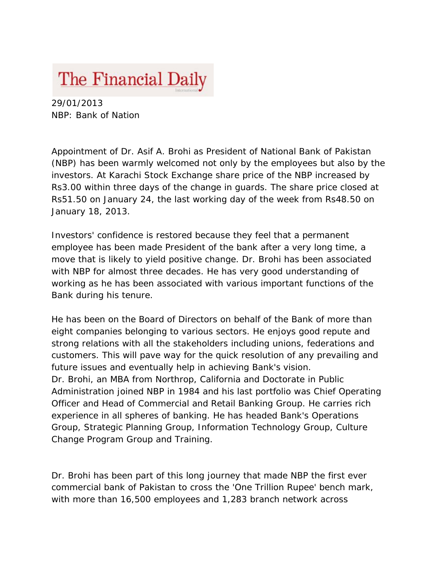## The Financial Daily

29/01/2013 NBP: Bank of Nation

Appointment of Dr. Asif A. Brohi as President of National Bank of Pakistan (NBP) has been warmly welcomed not only by the employees but also by the investors. At Karachi Stock Exchange share price of the NBP increased by Rs3.00 within three days of the change in guards. The share price closed at Rs51.50 on January 24, the last working day of the week from Rs48.50 on January 18, 2013.

Investors' confidence is restored because they feel that a permanent employee has been made President of the bank after a very long time, a move that is likely to yield positive change. Dr. Brohi has been associated with NBP for almost three decades. He has very good understanding of working as he has been associated with various important functions of the Bank during his tenure.

He has been on the Board of Directors on behalf of the Bank of more than eight companies belonging to various sectors. He enjoys good repute and strong relations with all the stakeholders including unions, federations and customers. This will pave way for the quick resolution of any prevailing and future issues and eventually help in achieving Bank's vision. Dr. Brohi, an MBA from Northrop, California and Doctorate in Public Administration joined NBP in 1984 and his last portfolio was Chief Operating Officer and Head of Commercial and Retail Banking Group. He carries rich experience in all spheres of banking. He has headed Bank's Operations Group, Strategic Planning Group, Information Technology Group, Culture Change Program Group and Training.

Dr. Brohi has been part of this long journey that made NBP the first ever commercial bank of Pakistan to cross the 'One Trillion Rupee' bench mark, with more than 16,500 employees and 1,283 branch network across